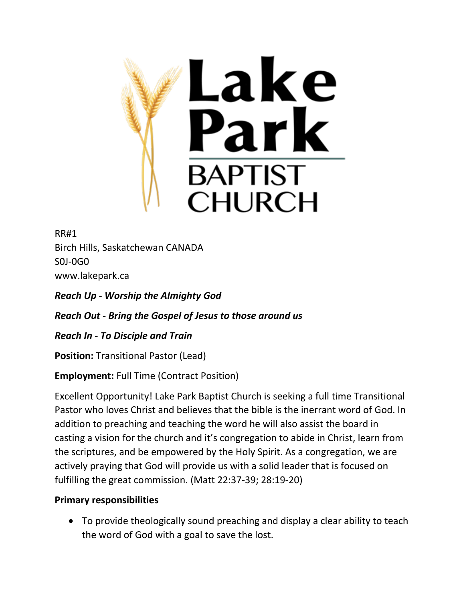

RR#1 Birch Hills, Saskatchewan CANADA S0J-0G0 www.lakepark.ca

*Reach Up - Worship the Almighty God*

*Reach Out - Bring the Gospel of Jesus to those around us*

*Reach In - To Disciple and Train*

**Position:** Transitional Pastor (Lead)

**Employment:** Full Time (Contract Position)

Excellent Opportunity! Lake Park Baptist Church is seeking a full time Transitional Pastor who loves Christ and believes that the bible is the inerrant word of God. In addition to preaching and teaching the word he will also assist the board in casting a vision for the church and it's congregation to abide in Christ, learn from the scriptures, and be empowered by the Holy Spirit. As a congregation, we are actively praying that God will provide us with a solid leader that is focused on fulfilling the great commission. (Matt 22:37-39; 28:19-20)

# **Primary responsibilities**

 To provide theologically sound preaching and display a clear ability to teach the word of God with a goal to save the lost.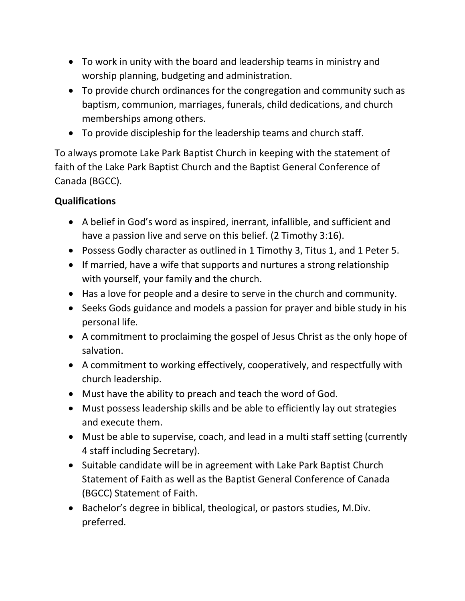- To work in unity with the board and leadership teams in ministry and worship planning, budgeting and administration.
- To provide church ordinances for the congregation and community such as baptism, communion, marriages, funerals, child dedications, and church memberships among others.
- To provide discipleship for the leadership teams and church staff.

To always promote Lake Park Baptist Church in keeping with the statement of faith of the Lake Park Baptist Church and the Baptist General Conference of Canada (BGCC).

# **Qualifications**

- A belief in God's word as inspired, inerrant, infallible, and sufficient and have a passion live and serve on this belief. (2 Timothy 3:16).
- Possess Godly character as outlined in 1 Timothy 3, Titus 1, and 1 Peter 5.
- If married, have a wife that supports and nurtures a strong relationship with yourself, your family and the church.
- Has a love for people and a desire to serve in the church and community.
- Seeks Gods guidance and models a passion for prayer and bible study in his personal life.
- A commitment to proclaiming the gospel of Jesus Christ as the only hope of salvation.
- A commitment to working effectively, cooperatively, and respectfully with church leadership.
- Must have the ability to preach and teach the word of God.
- Must possess leadership skills and be able to efficiently lay out strategies and execute them.
- Must be able to supervise, coach, and lead in a multi staff setting (currently 4 staff including Secretary).
- Suitable candidate will be in agreement with Lake Park Baptist Church Statement of Faith as well as the Baptist General Conference of Canada (BGCC) Statement of Faith.
- Bachelor's degree in biblical, theological, or pastors studies, M.Div. preferred.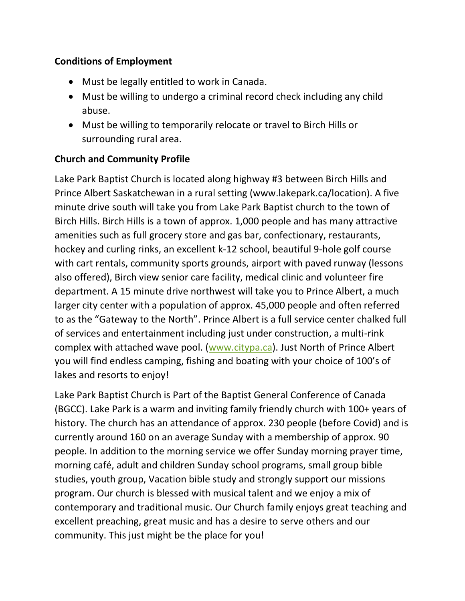### **Conditions of Employment**

- Must be legally entitled to work in Canada.
- Must be willing to undergo a criminal record check including any child abuse.
- Must be willing to temporarily relocate or travel to Birch Hills or surrounding rural area.

# **Church and Community Profile**

Lake Park Baptist Church is located along highway #3 between Birch Hills and Prince Albert Saskatchewan in a rural setting (www.lakepark.ca/location). A five minute drive south will take you from Lake Park Baptist church to the town of Birch Hills. Birch Hills is a town of approx. 1,000 people and has many attractive amenities such as full grocery store and gas bar, confectionary, restaurants, hockey and curling rinks, an excellent k-12 school, beautiful 9-hole golf course with cart rentals, community sports grounds, airport with paved runway (lessons also offered), Birch view senior care facility, medical clinic and volunteer fire department. A 15 minute drive northwest will take you to Prince Albert, a much larger city center with a population of approx. 45,000 people and often referred to as the "Gateway to the North". Prince Albert is a full service center chalked full of services and entertainment including just under construction, a multi-rink complex with attached wave pool. [\(www.citypa.ca\)](http://www.citypa.ca/). Just North of Prince Albert you will find endless camping, fishing and boating with your choice of 100's of lakes and resorts to enjoy!

Lake Park Baptist Church is Part of the Baptist General Conference of Canada (BGCC). Lake Park is a warm and inviting family friendly church with 100+ years of history. The church has an attendance of approx. 230 people (before Covid) and is currently around 160 on an average Sunday with a membership of approx. 90 people. In addition to the morning service we offer Sunday morning prayer time, morning café, adult and children Sunday school programs, small group bible studies, youth group, Vacation bible study and strongly support our missions program. Our church is blessed with musical talent and we enjoy a mix of contemporary and traditional music. Our Church family enjoys great teaching and excellent preaching, great music and has a desire to serve others and our community. This just might be the place for you!